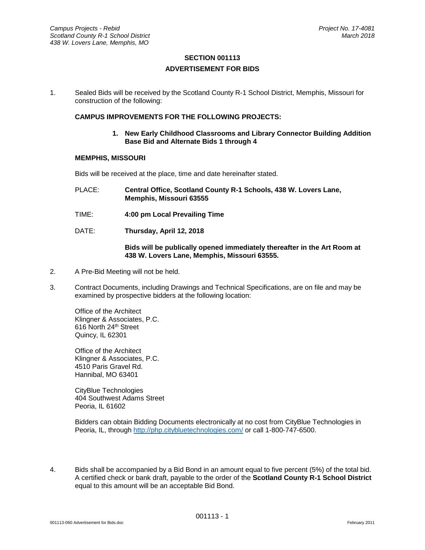# **SECTION 001113 ADVERTISEMENT FOR BIDS**

1. Sealed Bids will be received by the Scotland County R-1 School District, Memphis, Missouri for construction of the following:

## **CAMPUS IMPROVEMENTS FOR THE FOLLOWING PROJECTS:**

**1. New Early Childhood Classrooms and Library Connector Building Addition Base Bid and Alternate Bids 1 through 4**

#### **MEMPHIS, MISSOURI**

Bids will be received at the place, time and date hereinafter stated.

- PLACE: **Central Office, Scotland County R-1 Schools, 438 W. Lovers Lane, Memphis, Missouri 63555**
- TIME: **4:00 pm Local Prevailing Time**
- DATE: **Thursday, April 12, 2018**

### **Bids will be publically opened immediately thereafter in the Art Room at 438 W. Lovers Lane, Memphis, Missouri 63555.**

- 2. A Pre-Bid Meeting will not be held.
- 3. Contract Documents, including Drawings and Technical Specifications, are on file and may be examined by prospective bidders at the following location:

Office of the Architect Klingner & Associates, P.C. 616 North 24th Street Quincy, IL 62301

Office of the Architect Klingner & Associates, P.C. 4510 Paris Gravel Rd. Hannibal, MO 63401

CityBlue Technologies 404 Southwest Adams Street Peoria, IL 61602

Bidders can obtain Bidding Documents electronically at no cost from CityBlue Technologies in Peoria, IL, through<http://php.citybluetechnologies.com/> or call 1-800-747-6500.

4. Bids shall be accompanied by a Bid Bond in an amount equal to five percent (5%) of the total bid. A certified check or bank draft, payable to the order of the **Scotland County R-1 School District**  equal to this amount will be an acceptable Bid Bond.